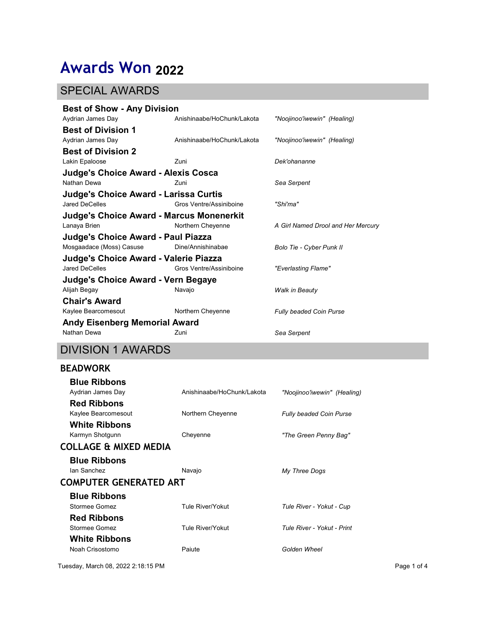# Awards Won 2022

### SPECIAL AWARDS

| <b>Awards Won 2022</b>                                                |                            |                                    |  |  |
|-----------------------------------------------------------------------|----------------------------|------------------------------------|--|--|
|                                                                       |                            |                                    |  |  |
| <b>SPECIAL AWARDS</b>                                                 |                            |                                    |  |  |
| <b>Best of Show - Any Division</b>                                    |                            |                                    |  |  |
| Aydrian James Day<br><b>Best of Division 1</b>                        | Anishinaabe/HoChunk/Lakota | "Noojinoo'iwewin" (Healing)        |  |  |
| Aydrian James Day                                                     | Anishinaabe/HoChunk/Lakota | "Noojinoo'iwewin" (Healing)        |  |  |
| <b>Best of Division 2</b>                                             |                            |                                    |  |  |
| Lakin Epaloose<br>Judge's Choice Award - Alexis Cosca                 | Zuni                       | Dek'ohananne                       |  |  |
| Nathan Dewa                                                           | Zuni                       | Sea Serpent                        |  |  |
| Judge's Choice Award - Larissa Curtis                                 |                            |                                    |  |  |
| Jared DeCelles<br><b>Judge's Choice Award - Marcus Monenerkit</b>     | Gros Ventre/Assiniboine    | "Shi'ma"                           |  |  |
| Lanaya Brien                                                          | Northern Cheyenne          | A Girl Named Drool and Her Mercury |  |  |
| <b>Judge's Choice Award - Paul Piazza</b><br>Mosgaadace (Moss) Casuse | Dine/Annishinabae          | Bolo Tie - Cyber Punk II           |  |  |
| Judge's Choice Award - Valerie Piazza                                 |                            |                                    |  |  |
| "Everlasting Flame"<br>Gros Ventre/Assiniboine<br>Jared DeCelles      |                            |                                    |  |  |
| <b>Judge's Choice Award - Vern Begaye</b><br>Alijah Begay             | Navajo                     | Walk in Beauty                     |  |  |
| <b>Chair's Award</b>                                                  |                            |                                    |  |  |
| Kaylee Bearcomesout                                                   | Northern Cheyenne          | Fully beaded Coin Purse            |  |  |
| <b>Andy Eisenberg Memorial Award</b><br>Nathan Dewa                   | Zuni                       | Sea Serpent                        |  |  |
| <b>DIVISION 1 AWARDS</b>                                              |                            |                                    |  |  |
| <b>BEADWORK</b>                                                       |                            |                                    |  |  |
| <b>Blue Ribbons</b>                                                   |                            |                                    |  |  |
| Aydrian James Day                                                     | Anishinaabe/HoChunk/Lakota | "Noojinoo'iwewin" (Healing)        |  |  |
| <b>Red Ribbons</b><br>Kaylee Bearcomesout                             | Northern Cheyenne          | Fully beaded Coin Purse            |  |  |
| <b>White Ribbons</b>                                                  |                            |                                    |  |  |
| Karmyn Shotgunn                                                       | Cheyenne                   | "The Green Penny Bag"              |  |  |
| <b>COLLAGE &amp; MIXED MEDIA</b>                                      |                            |                                    |  |  |
| <b>Blue Ribbons</b><br>Ian Sanchez                                    | Navajo                     | My Three Dogs                      |  |  |
|                                                                       | COMPUTER GENERATED ART     |                                    |  |  |

## DIVISION 1 AWARDS

#### BEADWORK

| Jared DeCelles                                     | Gros Ventre/Assiniboine    | "Everlasting Flame"         |             |
|----------------------------------------------------|----------------------------|-----------------------------|-------------|
| Judge's Choice Award - Vern Begaye<br>Alijah Begay | Navajo                     | Walk in Beauty              |             |
| <b>Chair's Award</b>                               |                            |                             |             |
| Kaylee Bearcomesout                                | Northern Cheyenne          | Fully beaded Coin Purse     |             |
| <b>Andy Eisenberg Memorial Award</b>               |                            |                             |             |
| Nathan Dewa                                        | Zuni                       | Sea Serpent                 |             |
| <b>DIVISION 1 AWARDS</b>                           |                            |                             |             |
| <b>BEADWORK</b>                                    |                            |                             |             |
| <b>Blue Ribbons</b>                                |                            |                             |             |
| Aydrian James Day                                  | Anishinaabe/HoChunk/Lakota | "Noojinoo'iwewin" (Healing) |             |
| <b>Red Ribbons</b>                                 |                            |                             |             |
| Kaylee Bearcomesout                                | Northern Cheyenne          | Fully beaded Coin Purse     |             |
| <b>White Ribbons</b><br>Karmyn Shotgunn            | Cheyenne                   | "The Green Penny Bag"       |             |
| COLLAGE & MIXED MEDIA                              |                            |                             |             |
| <b>Blue Ribbons</b>                                |                            |                             |             |
| Ian Sanchez                                        | Navajo                     | My Three Dogs               |             |
| COMPUTER GENERATED ART                             |                            |                             |             |
| <b>Blue Ribbons</b>                                |                            |                             |             |
| <b>Stormee Gomez</b>                               | Tule River/Yokut           | Tule River - Yokut - Cup    |             |
| <b>Red Ribbons</b>                                 |                            |                             |             |
| Stormee Gomez                                      | Tule River/Yokut           | Tule River - Yokut - Print  |             |
| <b>White Ribbons</b>                               |                            |                             |             |
| Noah Crisostomo                                    | Paiute                     | Golden Wheel                |             |
| uesday, March 08, 2022 2:18:15 PM                  |                            |                             | Page 1 of 4 |
|                                                    |                            |                             |             |
|                                                    |                            |                             |             |
|                                                    |                            |                             |             |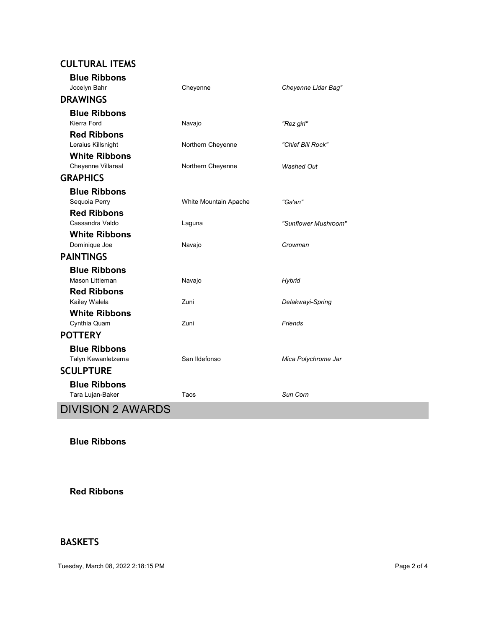| <b>CULTURAL ITEMS</b><br><b>Blue Ribbons</b> |                       |                      |
|----------------------------------------------|-----------------------|----------------------|
| Jocelyn Bahr                                 | Cheyenne              | Cheyenne Lidar Bag"  |
| <b>DRAWINGS</b>                              |                       |                      |
| <b>Blue Ribbons</b>                          |                       |                      |
| Kierra Ford<br><b>Red Ribbons</b>            | Navajo                | "Rez girl"           |
| Leraius Killsnight                           | Northern Cheyenne     | "Chief Bill Rock"    |
| <b>White Ribbons</b>                         |                       | <b>Washed Out</b>    |
| Cheyenne Villareal<br><b>GRAPHICS</b>        | Northern Cheyenne     |                      |
| <b>Blue Ribbons</b>                          |                       |                      |
| Sequoia Perry                                | White Mountain Apache | "Ga'an"              |
| <b>Red Ribbons</b><br>Cassandra Valdo        | Laguna                | "Sunflower Mushroom" |
| <b>White Ribbons</b>                         |                       |                      |
| Dominique Joe                                | Navajo                | Crowman              |
| <b>PAINTINGS</b>                             |                       |                      |
| <b>Blue Ribbons</b><br>Mason Littleman       | Navajo                | Hybrid               |
| <b>Red Ribbons</b>                           |                       |                      |
| Kailey Walela                                | Zuni                  | Delakwayi-Spring     |
| <b>White Ribbons</b><br>Cynthia Quam         | Zuni                  | Friends              |
| <b>POTTERY</b>                               |                       |                      |
| <b>Blue Ribbons</b>                          |                       |                      |
| Talyn Kewanletzema<br><b>SCULPTURE</b>       | San Ildefonso         | Mica Polychrome Jar  |
| <b>Blue Ribbons</b>                          |                       |                      |
| Tara Lujan-Baker                             | Taos                  | Sun Corn             |
| <b>DIVISION 2 AWARDS</b>                     |                       |                      |
|                                              |                       |                      |
| <b>Blue Ribbons</b>                          |                       |                      |

Red Ribbons

#### BASKETS

Tuesday, March 08, 2022 2:18:15 PM Page 2 of 4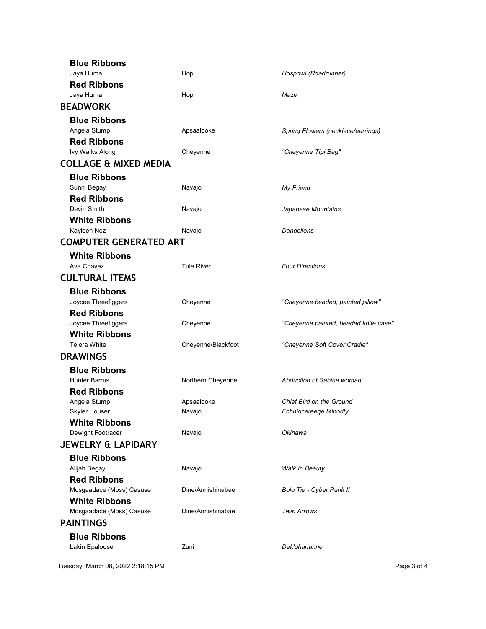|                    | Maze                                                                                                                                 |                                                                                                                                                                                                                                                 |
|--------------------|--------------------------------------------------------------------------------------------------------------------------------------|-------------------------------------------------------------------------------------------------------------------------------------------------------------------------------------------------------------------------------------------------|
|                    |                                                                                                                                      |                                                                                                                                                                                                                                                 |
|                    |                                                                                                                                      |                                                                                                                                                                                                                                                 |
| Cheyenne           | "Cheyenne Tipi Bag"                                                                                                                  |                                                                                                                                                                                                                                                 |
|                    |                                                                                                                                      |                                                                                                                                                                                                                                                 |
|                    |                                                                                                                                      |                                                                                                                                                                                                                                                 |
| Navajo             | Japanese Mountains                                                                                                                   |                                                                                                                                                                                                                                                 |
| Navajo             | <b>Dandelions</b>                                                                                                                    |                                                                                                                                                                                                                                                 |
|                    |                                                                                                                                      |                                                                                                                                                                                                                                                 |
| <b>Tule River</b>  | <b>Four Directions</b>                                                                                                               |                                                                                                                                                                                                                                                 |
|                    |                                                                                                                                      |                                                                                                                                                                                                                                                 |
|                    |                                                                                                                                      |                                                                                                                                                                                                                                                 |
| Cheyenne           |                                                                                                                                      |                                                                                                                                                                                                                                                 |
| Cheyenne/Blackfoot | "Cheyenne Soft Cover Cradle"                                                                                                         |                                                                                                                                                                                                                                                 |
|                    |                                                                                                                                      |                                                                                                                                                                                                                                                 |
| Northern Cheyenne  | Abduction of Sabine woman                                                                                                            |                                                                                                                                                                                                                                                 |
| Apsaalooke         | Chief Bird on the Ground                                                                                                             |                                                                                                                                                                                                                                                 |
|                    |                                                                                                                                      |                                                                                                                                                                                                                                                 |
|                    |                                                                                                                                      |                                                                                                                                                                                                                                                 |
|                    |                                                                                                                                      |                                                                                                                                                                                                                                                 |
|                    |                                                                                                                                      |                                                                                                                                                                                                                                                 |
|                    |                                                                                                                                      |                                                                                                                                                                                                                                                 |
| Dine/Annishinabae  | <b>Twin Arrows</b>                                                                                                                   |                                                                                                                                                                                                                                                 |
|                    |                                                                                                                                      |                                                                                                                                                                                                                                                 |
| Zuni               | Dek'ohananne                                                                                                                         |                                                                                                                                                                                                                                                 |
|                    | Hopi<br>Hopi<br>Apsaalooke<br>Navajo<br><b>COMPUTER GENERATED ART</b><br>Cheyenne<br>Navajo<br>Navajo<br>Navajo<br>Dine/Annishinabae | Hospowi (Roadrunner)<br>Spring Flowers (necklace/earrings)<br>My Friend<br>"Cheyenne beaded, painted pillow"<br>"Cheyenne painted, beaded knife case"<br><b>Echniocereeqe Minority</b><br>Okinawa<br>Walk in Beauty<br>Bolo Tie - Cyber Punk II |